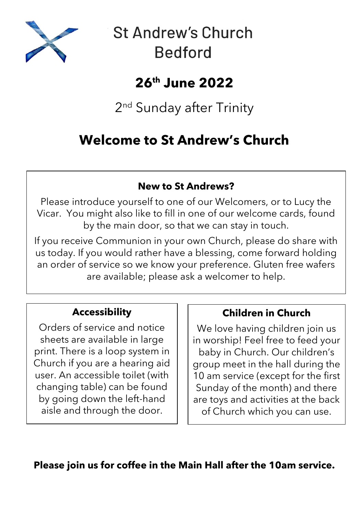

# **St Andrew's Church Bedford**

## **26th June 2022**

2<sup>nd</sup> Sunday after Trinity

## **Welcome to St Andrew's Church**

### **New to St Andrews?**

Please introduce yourself to one of our Welcomers, or to Lucy the Vicar. You might also like to fill in one of our welcome cards, found by the main door, so that we can stay in touch.

If you receive Communion in your own Church, please do share with us today. If you would rather have a blessing, come forward holding an order of service so we know your preference. Gluten free wafers are available; please ask a welcomer to help.

## **Accessibility**

Orders of service and notice sheets are available in large print. There is a loop system in Church if you are a hearing aid user. An accessible toilet (with changing table) can be found by going down the left-hand aisle and through the door.

## **Children in Church**

We love having children join us in worship! Feel free to feed your baby in Church. Our children's group meet in the hall during the 10 am service (except for the first Sunday of the month) and there are toys and activities at the back of Church which you can use.

**Please join us for coffee in the Main Hall after the 10am service.**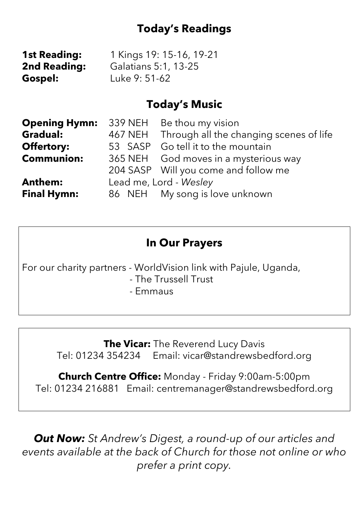## **Today's Readings**

| <b>1st Reading:</b> | 1 Kings 19: 15-16, 19-21 |
|---------------------|--------------------------|
| <b>2nd Reading:</b> | Galatians 5:1, 13-25     |
| Gospel:             | Luke 9: 51-62            |

## **Today's Music**

| <b>Opening Hymn:</b> 339 NEH Be thou my vision |                        |                                         |
|------------------------------------------------|------------------------|-----------------------------------------|
| <b>Gradual:</b>                                | 467 NEH                | Through all the changing scenes of life |
| <b>Offertory:</b>                              |                        | 53 SASP Go tell it to the mountain      |
| <b>Communion:</b>                              |                        | 365 NEH God moves in a mysterious way   |
|                                                |                        | 204 SASP Will you come and follow me    |
| <b>Anthem:</b>                                 | Lead me, Lord - Wesley |                                         |
| <b>Final Hymn:</b>                             |                        | 86 NEH My song is love unknown          |

## **In Our Prayers**

For our charity partners - WorldVision link with Pajule, Uganda,

- The Trussell Trust
- Emmaus

**The Vicar:** The Reverend Lucy Davis Tel: 01234 354234 Email: vicar@standrewsbedford.org

**Church Centre Office:** Monday - Friday 9:00am-5:00pm Tel: 01234 216881 Email: centremanager@standrewsbedford.org

*Out Now: St Andrew's Digest, a round-up of our articles and events available at the back of Church for those not online or who prefer a print copy.*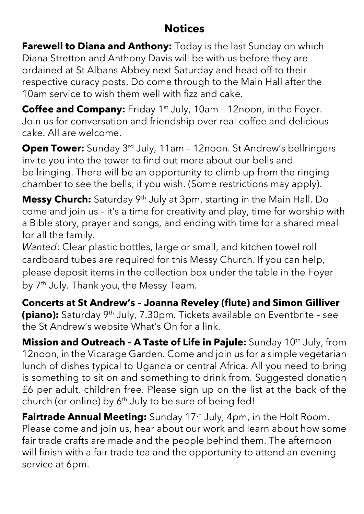## **Notices**

**Farewell to Diana and Anthony:** Today is the last Sunday on which Diana Stretton and Anthony Davis will be with us before they are ordained at St Albans Abbey next Saturday and head off to their respective curacy posts. Do come through to the Main Hall after the 10am service to wish them well with fizz and cake.

**Coffee and Company:** Friday 1<sup>st</sup> July, 10am - 12noon, in the Foyer. Join us for conversation and friendship over real coffee and delicious cake. All are welcome.

**Open Tower:** Sunday 3<sup>rd</sup> July, 11am - 12noon. St Andrew's bellringers invite you into the tower to find out more about our bells and bellringing. There will be an opportunity to climb up from the ringing chamber to see the bells, if you wish. (Some restrictions may apply).

**Messy Church:** Saturday 9th July at 3pm, starting in the Main Hall. Do come and join us – it's a time for creativity and play, time for worship with a Bible story, prayer and songs, and ending with time for a shared meal for all the family.

*Wanted*: Clear plastic bottles, large or small, and kitchen towel roll cardboard tubes are required for this Messy Church. If you can help, please deposit items in the collection box under the table in the Foyer by 7<sup>th</sup> July. Thank you, the Messy Team.

**Concerts at St Andrew's – Joanna Reveley (flute) and Simon Gilliver (piano):** Saturday 9<sup>th</sup> July, 7.30pm. Tickets available on Eventbrite - see the St Andrew's website What's On for a link.

**Mission and Outreach – A Taste of Life in Pajule:** Sunday 10th July, from 12noon, in the Vicarage Garden. Come and join us for a simple vegetarian lunch of dishes typical to Uganda or central Africa. All you need to bring is something to sit on and something to drink from. Suggested donation £6 per adult, children free. Please sign up on the list at the back of the church (or online) by  $6<sup>th</sup>$  July to be sure of being fed!

**Fairtrade Annual Meeting:** Sunday 17<sup>th</sup> July, 4pm, in the Holt Room. Please come and join us, hear about our work and learn about how some fair trade crafts are made and the people behind them. The afternoon will finish with a fair trade tea and the opportunity to attend an evening service at 6pm.